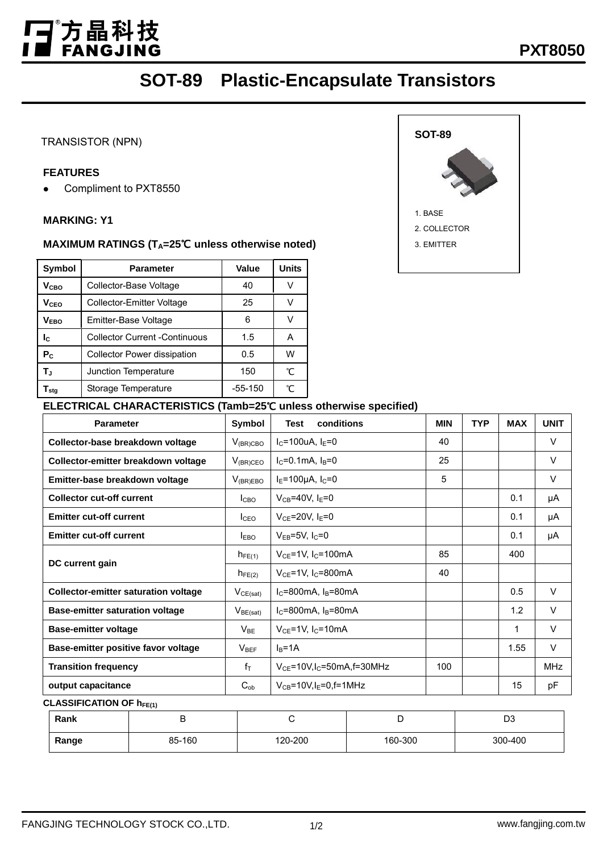# T゚方晶科技<br>■ FANGJING I

## **SOT-89 Plastic-Encapsulate Transistors**

#### TRANSISTOR (NPN)

ł,

#### **FEATURES**

ï

L

• Compliment to PXT8550

#### **MARKING: Y1**

#### **MAXIMUM RATINGS (TA=25**℃ **unless otherwise noted)**

| Symbol                 | <b>Parameter</b>                     | <b>Value</b> | <b>Units</b> |  |
|------------------------|--------------------------------------|--------------|--------------|--|
| V <sub>CBO</sub>       | Collector-Base Voltage               | 40           | V            |  |
| <b>V</b> cFo           | Collector-Emitter Voltage            | 25           | V            |  |
| V <sub>EBO</sub>       | Emitter-Base Voltage                 | V            |              |  |
| Ic.                    | <b>Collector Current -Continuous</b> | 1.5          | А            |  |
| P <sub>C</sub>         | <b>Collector Power dissipation</b>   | 0.5          | W            |  |
| T.,                    | Junction Temperature                 | 150          | °C           |  |
| $\mathsf{T}_{\sf stg}$ | Storage Temperature                  | $-55-150$    | °C           |  |



| <b>Parameter</b>                            | Symbol           | conditions<br><b>Test</b>                  | <b>MIN</b> | <b>TYP</b> | <b>MAX</b> | <b>UNIT</b> |
|---------------------------------------------|------------------|--------------------------------------------|------------|------------|------------|-------------|
| Collector-base breakdown voltage            | $V_{(BR)CBO}$    | $I_C = 100uA, I_E = 0$                     | 40         |            |            | $\vee$      |
| Collector-emitter breakdown voltage         | $V_{(BR)CEO}$    | $I_C = 0.1$ mA, $I_B = 0$                  | 25         |            |            | $\vee$      |
| Emitter-base breakdown voltage              | $V_{(BR)EBO}$    | $I_E = 100 \mu A$ , $I_C = 0$              | 5          |            |            | $\vee$      |
| <b>Collector cut-off current</b>            | <b>I</b> CBO     | $V_{CB} = 40V$ , $I_E = 0$                 |            |            | 0.1        | μA          |
| <b>Emitter cut-off current</b>              | I <sub>CEO</sub> | $V_{CE}$ =20V, I <sub>E</sub> =0           |            |            | 0.1        | μA          |
| <b>Emitter cut-off current</b>              | $I_{EBO}$        | $V_{EB} = 5V$ , $I_C = 0$                  |            |            | 0.1        | μA          |
|                                             | $h_{FE(1)}$      | $V_{CE}$ =1V, I <sub>C</sub> =100mA        | 85         |            | 400        |             |
| DC current gain                             | $h_{FE(2)}$      | $V_{CE}$ =1V, I <sub>C</sub> =800mA        | 40         |            |            |             |
| <b>Collector-emitter saturation voltage</b> | $V_{CE(sat)}$    | $IC=800mA$ , $IB=80mA$                     |            |            | 0.5        | $\vee$      |
| <b>Base-emitter saturation voltage</b>      | $V_{BE(sat)}$    | $I_C = 800$ mA, $I_B = 80$ mA              |            |            | 1.2        | $\vee$      |
| <b>Base-emitter voltage</b>                 | $V_{BE}$         | $V_{CE}$ =1V, I <sub>C</sub> =10mA         |            |            | 1          | $\vee$      |
| Base-emitter positive favor voltage         | $V_{BEF}$        | $IB=1A$                                    |            |            | 1.55       | $\vee$      |
| <b>Transition frequency</b>                 | $f_{\text{T}}$   | $V_{CE}$ =10V,I <sub>C</sub> =50mA,f=30MHz | 100        |            |            | <b>MHz</b>  |
| output capacitance                          | $C_{ob}$         | $V_{CB} = 10V$ , $I_E = 0$ , f=1MHz        |            |            | 15         | pF          |

**CLASSIFICATION OF hFE(1)** 

| Rank  | ້      |         | −       | D3      |
|-------|--------|---------|---------|---------|
| Range | 85-160 | 120-200 | 160-300 | 300-400 |

#### FANGJING TECHNOLOGY STOCK CO.,LTD. 1/2 1/2 www.fangjing.com.tw